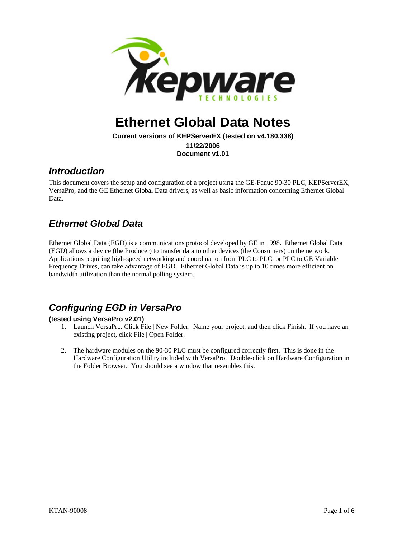

# **Ethernet Global Data Notes**

**Current versions of KEPServerEX (tested on v4.180.338) 11/22/2006 Document v1.01** 

#### *Introduction*

This document covers the setup and configuration of a project using the GE-Fanuc 90-30 PLC, KEPServerEX, VersaPro, and the GE Ethernet Global Data drivers, as well as basic information concerning Ethernet Global Data.

## *Ethernet Global Data*

Ethernet Global Data (EGD) is a communications protocol developed by GE in 1998. Ethernet Global Data (EGD) allows a device (the Producer) to transfer data to other devices (the Consumers) on the network. Applications requiring high-speed networking and coordination from PLC to PLC, or PLC to GE Variable Frequency Drives, can take advantage of EGD. Ethernet Global Data is up to 10 times more efficient on bandwidth utilization than the normal polling system.

### *Configuring EGD in VersaPro*

#### <span id="page-0-0"></span>**(tested using VersaPro v2.01)**

- 1. Launch VersaPro. Click File | New Folder. Name your project, and then click Finish. If you have an existing project, click File | Open Folder.
- 2. The hardware modules on the 90-30 PLC must be configured correctly first. This is done in the Hardware Configuration Utility included with VersaPro. Double-click on Hardware Configuration in the Folder Browser. You should see a window that resembles this.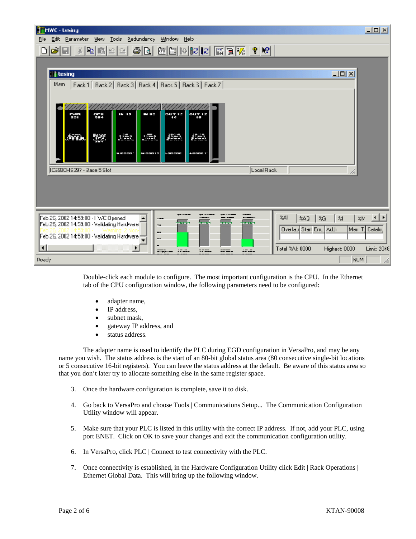| <b>THWC</b> - Lesing                                                                                                                                                                                                                                                                                                                                                                                                                                                                                                                                                                            | $\Box$ D $\times$ |
|-------------------------------------------------------------------------------------------------------------------------------------------------------------------------------------------------------------------------------------------------------------------------------------------------------------------------------------------------------------------------------------------------------------------------------------------------------------------------------------------------------------------------------------------------------------------------------------------------|-------------------|
| Edit Parameter Mew Tools Redundancy<br><b>Window</b><br>Help<br>File                                                                                                                                                                                                                                                                                                                                                                                                                                                                                                                            |                   |
| $\left \mathbf{S}\right \otimes\left \mathbf{N}\right \otimes\left \mathbf{E}\right \otimes\left \mathbf{E}\right \otimes\left \mathbf{E}\right \otimes\left \mathbf{E}\right \otimes\left \mathbf{E}\right \otimes\left \mathbf{E}\right \otimes\left \mathbf{E}\right \otimes\left \mathbf{E}\right \otimes\left \mathbf{E}\right \otimes\left \mathbf{E}\right \otimes\left \mathbf{E}\right \otimes\left \mathbf{E}\right \otimes\left \mathbf{E}\right \otimes\left \mathbf{E}\right \otimes\left \mathbf{E}\right \otimes\left \mathbf{E}\right \otimes\left \math$<br>세력 대리 의<br>eo<br>D |                   |
|                                                                                                                                                                                                                                                                                                                                                                                                                                                                                                                                                                                                 |                   |
| $\Box$ <b>D</b> $\Box$<br>     tesing                                                                                                                                                                                                                                                                                                                                                                                                                                                                                                                                                           |                   |
| Fack 1   Rack 2   Rack 3   Rack 4   Rack 5   Rack 3   Fack 7  <br>Man                                                                                                                                                                                                                                                                                                                                                                                                                                                                                                                           |                   |
|                                                                                                                                                                                                                                                                                                                                                                                                                                                                                                                                                                                                 |                   |
|                                                                                                                                                                                                                                                                                                                                                                                                                                                                                                                                                                                                 |                   |
| IN 15<br>$\sim$ 100 $\mu$<br>$\mathbf{p}$ u $\mathbf{T}$ 15<br>047.12<br>$\frac{1}{2}$<br>$\frac{1}{3}$                                                                                                                                                                                                                                                                                                                                                                                                                                                                                         |                   |
|                                                                                                                                                                                                                                                                                                                                                                                                                                                                                                                                                                                                 |                   |
| <b>SULL</b><br>红斑<br>$\frac{1}{2}$ , $\frac{1}{2}$<br><u> 1991 - 1992 - 1993 - 1994 - 1994 - 1994 - 1994 - 1994 - 1994 - 1994 - 1994 - 1994 - 1994 - 1994 - 1994 - 199</u><br>靈<br>فتقين                                                                                                                                                                                                                                                                                                                                                                                                        |                   |
|                                                                                                                                                                                                                                                                                                                                                                                                                                                                                                                                                                                                 |                   |
| WICOCO<br>1000017<br>$\bullet$ cooo 1<br>10.9595                                                                                                                                                                                                                                                                                                                                                                                                                                                                                                                                                |                   |
| ICS93CHS397 - Base 5 Slot<br>Local Rack                                                                                                                                                                                                                                                                                                                                                                                                                                                                                                                                                         |                   |
|                                                                                                                                                                                                                                                                                                                                                                                                                                                                                                                                                                                                 |                   |
|                                                                                                                                                                                                                                                                                                                                                                                                                                                                                                                                                                                                 |                   |
|                                                                                                                                                                                                                                                                                                                                                                                                                                                                                                                                                                                                 |                   |
|                                                                                                                                                                                                                                                                                                                                                                                                                                                                                                                                                                                                 |                   |
| Feb 26, 2002 14:50:00 · I WC Opened<br>3AL<br><b>XAJ</b><br>25<br>$\approx$<br>marina a c<br>-----<br>$\cdot$                                                                                                                                                                                                                                                                                                                                                                                                                                                                                   | ⊣∣⊁<br>%M         |
| an an<br>Feb 26, 2002 14:59.00 · Validating Hardware<br>$\overline{ }$<br>Ovelau Start Enc.<br><b>LLA</b><br>Men T                                                                                                                                                                                                                                                                                                                                                                                                                                                                              | Catalog           |
| --<br>Feb 26, 2002 14:59:00 · Validating Hardware-<br>--                                                                                                                                                                                                                                                                                                                                                                                                                                                                                                                                        |                   |
| ⊣<br>Total %AI: 0000<br>D.<br>Highest: 0000<br>. <del>.</del><br>755L<br>≈=.<br>----<br>====                                                                                                                                                                                                                                                                                                                                                                                                                                                                                                    | Limit: 2048       |
| NUM<br>Roady                                                                                                                                                                                                                                                                                                                                                                                                                                                                                                                                                                                    | ħ,                |

Double-click each module to configure. The most important configuration is the CPU. In the Ethernet tab of the CPU configuration window, the following parameters need to be configured:

- adapter name,
- IP address,
- subnet mask,
- gateway IP address, and
- status address.

The adapter name is used to identify the PLC during EGD configuration in VersaPro, and may be any name you wish. The status address is the start of an 80-bit global status area (80 consecutive single-bit locations or 5 consecutive 16-bit registers). You can leave the status address at the default. Be aware of this status area so that you don't later try to allocate something else in the same register space.

- 3. Once the hardware configuration is complete, save it to disk.
- 4. Go back to VersaPro and choose Tools | Communications Setup... The Communication Configuration Utility window will appear.
- 5. Make sure that your PLC is listed in this utility with the correct IP address. If not, add your PLC, using port ENET. Click on OK to save your changes and exit the communication configuration utility.
- 6. In VersaPro, click PLC | Connect to test connectivity with the PLC.
- 7. Once connectivity is established, in the Hardware Configuration Utility click Edit | Rack Operations | Ethernet Global Data. This will bring up the following window.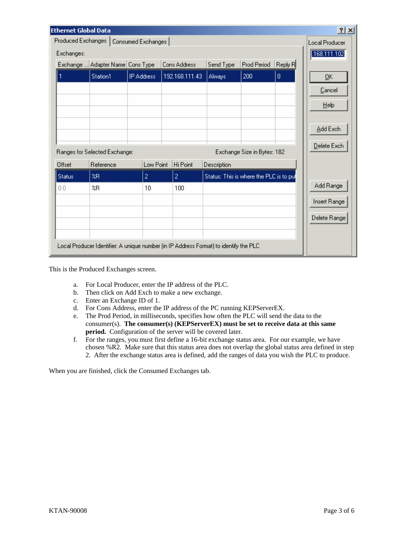| <b>Ethernet Global Data</b>                                                           |                                  |                   |                |                                         |             |                       | 2x           |
|---------------------------------------------------------------------------------------|----------------------------------|-------------------|----------------|-----------------------------------------|-------------|-----------------------|--------------|
| Produced Exchanges<br>Consumed Exchanges                                              |                                  |                   |                |                                         |             | <b>Local Producer</b> |              |
| Exchanges:                                                                            |                                  |                   |                |                                         |             | 168.111.102           |              |
|                                                                                       | Exchange  Adapter Name Cons Type |                   | Cons Address   | Send Type                               | Prod Period | Reply R               |              |
|                                                                                       | Station1                         | <b>IP Address</b> | 192.168.111.43 | Always                                  | 200         | $\bf{0}$              | QK           |
|                                                                                       |                                  |                   |                |                                         |             |                       | Cancel       |
|                                                                                       |                                  |                   |                |                                         |             |                       |              |
|                                                                                       |                                  |                   |                |                                         |             |                       | $He$ lp      |
|                                                                                       |                                  |                   |                |                                         |             |                       |              |
|                                                                                       |                                  |                   |                |                                         |             |                       | Add Exch     |
|                                                                                       |                                  |                   |                |                                         |             |                       | Delete Exch  |
| Exchange Size in Bytes: 182<br>Ranges for Selected Exchange:                          |                                  |                   |                |                                         |             |                       |              |
| Offset                                                                                | Reference                        | Low Point         | Hi Point       | Description                             |             |                       |              |
| <b>Status</b>                                                                         | ZR                               | $\overline{2}$    | $\overline{2}$ | Status: This is where the PLC is to pul |             |                       |              |
| 0.0                                                                                   | %R                               | 10                | 100            |                                         |             |                       | Add Range    |
|                                                                                       |                                  |                   |                |                                         |             |                       | Insert Range |
|                                                                                       |                                  |                   |                |                                         |             |                       |              |
|                                                                                       |                                  |                   |                |                                         |             |                       | Delete Range |
|                                                                                       |                                  |                   |                |                                         |             |                       |              |
| Local Producer Identifier: A unique number (in IP Address Format) to identify the PLC |                                  |                   |                |                                         |             |                       |              |

This is the Produced Exchanges screen.

- a. For Local Producer, enter the IP address of the PLC.
- b. Then click on Add Exch to make a new exchange.
- c. Enter an Exchange ID of 1.
- d. For Cons Address, enter the IP address of the PC running KEPServerEX.
- e. The Prod Period, in milliseconds, specifies how often the PLC will send the data to the consumer(s). **The consumer(s) (KEPServerEX) must be set to receive data at this same period.** Configuration of the server will be covered later.
- f. For the ranges, you must first define a 16-bit exchange status area. For our example, we have chosen %R2. Make sure that this status area does not overlap the global status area defined in step [2.](#page-0-0) After the exchange status area is defined, add the ranges of data you wish the PLC to produce.

When you are finished, click the Consumed Exchanges tab.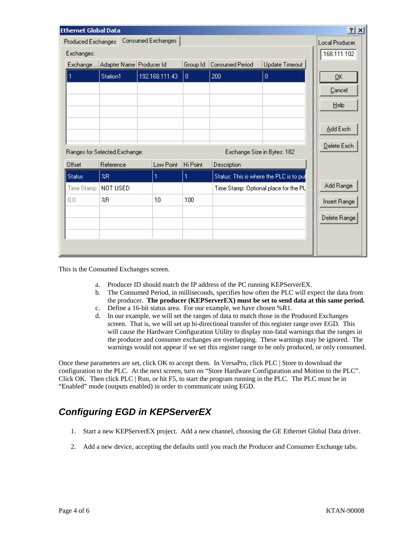|                                          | 2x<br><b>Ethernet Global Data</b>                            |                                                   |                |          |                                         |                |              |
|------------------------------------------|--------------------------------------------------------------|---------------------------------------------------|----------------|----------|-----------------------------------------|----------------|--------------|
| Consumed Exchanges<br>Produced Exchanges |                                                              |                                                   |                |          | <b>Local Producer</b>                   |                |              |
|                                          | Exchanges:                                                   |                                                   |                |          |                                         | .168.111.102   |              |
|                                          |                                                              | Exchange  Adapter Name Producer Id                |                | Group Id | Consumed Period                         | Update Timeout |              |
|                                          |                                                              | Station1                                          | 192.168.111.43 | O.       | 200                                     | $\overline{0}$ | QK           |
|                                          |                                                              |                                                   |                |          |                                         |                | Cancel       |
|                                          |                                                              |                                                   |                |          |                                         |                | Help         |
|                                          |                                                              |                                                   |                |          |                                         |                |              |
|                                          |                                                              |                                                   |                |          |                                         |                | Add Exch     |
|                                          |                                                              |                                                   |                |          |                                         |                |              |
|                                          | Ranges for Selected Exchange:<br>Exchange Size in Bytes: 182 |                                                   |                |          |                                         | Delete Exch    |              |
|                                          | Offset                                                       | Reference                                         | Low Point      | Hi Point | Description                             |                |              |
|                                          | <b>Status</b>                                                | ZR                                                | 1              | 1        | Status: This is where the PLC is to pul |                |              |
|                                          | Time Stamp                                                   | NOT USED<br>Time Stamp: Optional place for the PL |                |          | Add Range                               |                |              |
|                                          | 0.0                                                          | %R                                                | 10             | 100      |                                         |                | Insert Range |
|                                          |                                                              |                                                   |                |          |                                         |                | Delete Range |
|                                          |                                                              |                                                   |                |          |                                         |                |              |
|                                          |                                                              |                                                   |                |          |                                         |                |              |
|                                          |                                                              |                                                   |                |          |                                         |                |              |

This is the Consumed Exchanges screen.

- a. Producer ID should match the IP address of the PC running KEPServerEX.
- b. The Consumed Period, in milliseconds, specifies how often the PLC will expect the data from the producer. **The producer (KEPServerEX) must be set to send data at this same period.**
- c. Define a 16-bit status area. For our example, we have chosen %R1.
- d. In our example, we will set the ranges of data to match those in the Produced Exchanges screen. That is, we will set up bi-directional transfer of this register range over EGD. This will cause the Hardware Configuration Utility to display non-fatal warnings that the ranges in the producer and consumer exchanges are overlapping. These warnings may be ignored. The warnings would not appear if we set this register range to be only produced, or only consumed.

Once these parameters are set, click OK to accept them. In VersaPro, click PLC | Store to download the configuration to the PLC. At the next screen, turn on "Store Hardware Configuration and Motion to the PLC". Click OK. Then click PLC | Run, or hit F5, to start the program running in the PLC. The PLC must be in "Enabled" mode (outputs enabled) in order to communicate using EGD.

### *Configuring EGD in KEPServerEX*

- 1. Start a new KEPServerEX project. Add a new channel, choosing the GE Ethernet Global Data driver.
- 2. Add a new device, accepting the defaults until you reach the Producer and Consumer Exchange tabs.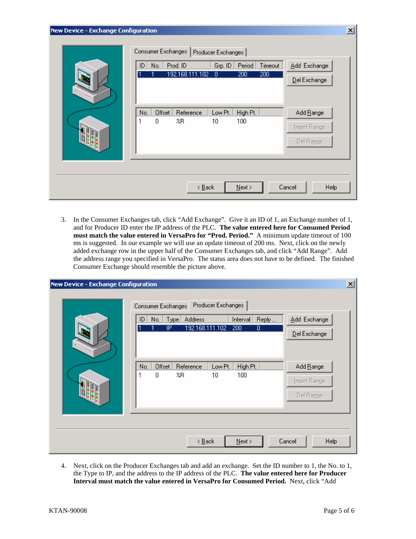| <b>New Device - Exchange Configuration</b><br>$\vert x \vert$ |                                                                                                                                                                           |  |  |  |  |  |
|---------------------------------------------------------------|---------------------------------------------------------------------------------------------------------------------------------------------------------------------------|--|--|--|--|--|
|                                                               | Consumer Exchanges  <br>Producer Exchanges<br>Add Exchange<br>Prod. ID<br>Period<br>Grp. ID<br>Timeout<br>No.<br>ID<br>192.168.111.102<br>200<br>200<br>Ő<br>Del Exchange |  |  |  |  |  |
|                                                               | Offset<br>Low Pt.<br>High Pt.<br>Add Range<br>No.<br>Reference<br>100<br>%R<br>10<br>0<br>Insert Range<br>Del Range                                                       |  |  |  |  |  |
|                                                               | Help<br>$\leq$ $\underline{\mathsf{B}}$ ack<br>$N$ ext ><br>Cancel                                                                                                        |  |  |  |  |  |

3. In the Consumer Exchanges tab, click "Add Exchange". Give it an ID of 1, an Exchange number of 1, and for Producer ID enter the IP address of the PLC. **The value entered here for Consumed Period must match the value entered in VersaPro for "Prod. Period."** A minimum update timeout of 100 ms is suggested. In our example we will use an update timeout of 200 ms. Next, click on the newly added exchange row in the upper half of the Consumer Exchanges tab, and click "Add Range". Add the address range you specified in VersaPro. The status area does not have to be defined. The finished Consumer Exchange should resemble the picture above.

| $\vert x \vert$<br>New Device - Exchange Configuration |                                                                                                                                                                                                                                                                                           |  |  |  |  |  |
|--------------------------------------------------------|-------------------------------------------------------------------------------------------------------------------------------------------------------------------------------------------------------------------------------------------------------------------------------------------|--|--|--|--|--|
|                                                        | Producer Exchanges<br>Consumer Exchanges<br>Add Exchange<br>Address<br>Reply<br>Type<br>No.<br><b>Interval</b><br>ID<br>192.168.111.102<br>200<br>ΪP<br>0<br>Del Exchange<br>Offset<br>Low Pt.<br>Add Range<br>Reference<br>High Pt.<br>No.<br>1<br>0<br>10<br>100<br>XR.<br>Insert Range |  |  |  |  |  |
|                                                        | Del Range<br>Help<br>$\leq$ $\underline{B}$ ack<br>$N$ ext ><br>Cancel                                                                                                                                                                                                                    |  |  |  |  |  |

4. Next, click on the Producer Exchanges tab and add an exchange. Set the ID number to 1, the No. to 1, the Type to IP, and the address to the IP address of the PLC. **The value entered here for Producer Interval must match the value entered in VersaPro for Consumed Period.** Next, click "Add